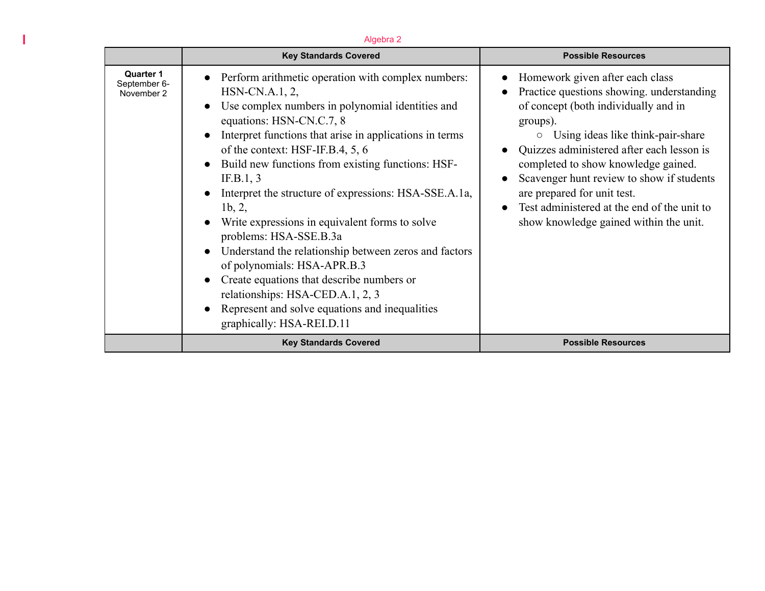| Algebra 2                                      |                                                                                                                                                                                                                                                                                                                                                                                                                                                                                                                                                                                                                                                                                                                                           |                                                                                                                                                                                                                                                                                                                                                                                                                                              |  |  |
|------------------------------------------------|-------------------------------------------------------------------------------------------------------------------------------------------------------------------------------------------------------------------------------------------------------------------------------------------------------------------------------------------------------------------------------------------------------------------------------------------------------------------------------------------------------------------------------------------------------------------------------------------------------------------------------------------------------------------------------------------------------------------------------------------|----------------------------------------------------------------------------------------------------------------------------------------------------------------------------------------------------------------------------------------------------------------------------------------------------------------------------------------------------------------------------------------------------------------------------------------------|--|--|
|                                                | <b>Key Standards Covered</b>                                                                                                                                                                                                                                                                                                                                                                                                                                                                                                                                                                                                                                                                                                              | <b>Possible Resources</b>                                                                                                                                                                                                                                                                                                                                                                                                                    |  |  |
| <b>Quarter 1</b><br>September 6-<br>November 2 | Perform arithmetic operation with complex numbers:<br>HSN-CN.A.1, 2,<br>Use complex numbers in polynomial identities and<br>equations: HSN-CN.C.7, 8<br>Interpret functions that arise in applications in terms<br>of the context: HSF-IF.B.4, 5, 6<br>Build new functions from existing functions: HSF-<br>$\bullet$<br>IF.B.1, 3<br>Interpret the structure of expressions: HSA-SSE.A.1a,<br>1b, 2,<br>Write expressions in equivalent forms to solve<br>problems: HSA-SSE.B.3a<br>Understand the relationship between zeros and factors<br>of polynomials: HSA-APR.B.3<br>Create equations that describe numbers or<br>relationships: HSA-CED.A.1, 2, 3<br>Represent and solve equations and inequalities<br>graphically: HSA-REI.D.11 | Homework given after each class<br>Practice questions showing. understanding<br>of concept (both individually and in<br>groups).<br>Using ideas like think-pair-share<br>$\bigcirc$<br>Quizzes administered after each lesson is<br>completed to show knowledge gained.<br>Scavenger hunt review to show if students<br>are prepared for unit test.<br>Test administered at the end of the unit to<br>show knowledge gained within the unit. |  |  |
|                                                | <b>Key Standards Covered</b>                                                                                                                                                                                                                                                                                                                                                                                                                                                                                                                                                                                                                                                                                                              | <b>Possible Resources</b>                                                                                                                                                                                                                                                                                                                                                                                                                    |  |  |

 $\overline{\phantom{a}}$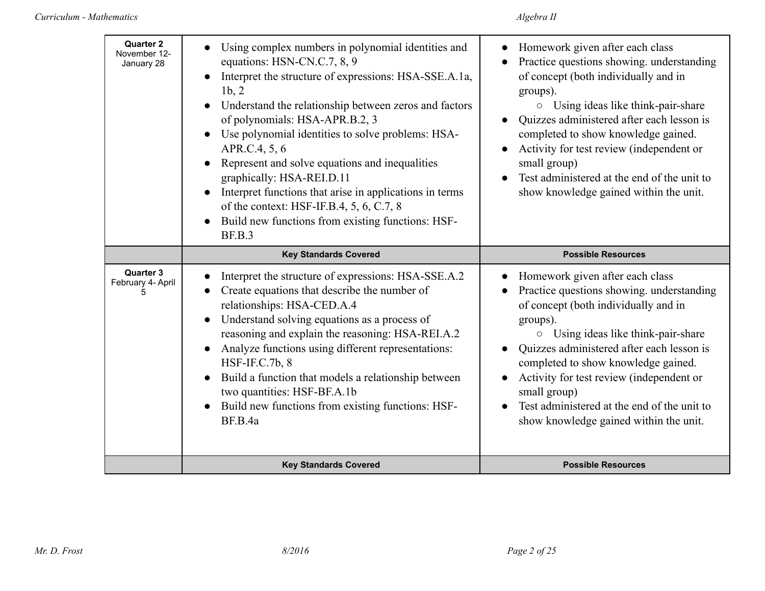| <b>Quarter 2</b><br>November 12-<br>January 28 | Using complex numbers in polynomial identities and<br>equations: HSN-CN.C.7, 8, 9<br>Interpret the structure of expressions: HSA-SSE.A.1a,<br>$\bullet$<br>1b, 2<br>Understand the relationship between zeros and factors<br>of polynomials: HSA-APR.B.2, 3<br>Use polynomial identities to solve problems: HSA-<br>APR.C.4, 5, 6<br>Represent and solve equations and inequalities<br>graphically: HSA-REI.D.11<br>Interpret functions that arise in applications in terms<br>of the context: HSF-IF.B.4, 5, 6, C.7, 8<br>Build new functions from existing functions: HSF-<br><b>BF.B.3</b> | Homework given after each class<br>Practice questions showing. understanding<br>of concept (both individually and in<br>groups).<br>Using ideas like think-pair-share<br>$\circ$<br>Quizzes administered after each lesson is<br>completed to show knowledge gained.<br>Activity for test review (independent or<br>small group)<br>Test administered at the end of the unit to<br>show knowledge gained within the unit. |
|------------------------------------------------|-----------------------------------------------------------------------------------------------------------------------------------------------------------------------------------------------------------------------------------------------------------------------------------------------------------------------------------------------------------------------------------------------------------------------------------------------------------------------------------------------------------------------------------------------------------------------------------------------|---------------------------------------------------------------------------------------------------------------------------------------------------------------------------------------------------------------------------------------------------------------------------------------------------------------------------------------------------------------------------------------------------------------------------|
|                                                | <b>Key Standards Covered</b>                                                                                                                                                                                                                                                                                                                                                                                                                                                                                                                                                                  | <b>Possible Resources</b>                                                                                                                                                                                                                                                                                                                                                                                                 |
| <b>Quarter 3</b><br>February 4- April<br>5     | Interpret the structure of expressions: HSA-SSE.A.2<br>Create equations that describe the number of<br>relationships: HSA-CED.A.4<br>Understand solving equations as a process of<br>reasoning and explain the reasoning: HSA-REI.A.2<br>Analyze functions using different representations:<br>$\bullet$<br>HSF-IF.C.7b, 8<br>Build a function that models a relationship between<br>two quantities: HSF-BF.A.1b<br>Build new functions from existing functions: HSF-<br>BF.B.4a                                                                                                              | Homework given after each class<br>Practice questions showing. understanding<br>of concept (both individually and in<br>groups).<br><b>O</b> Using ideas like think-pair-share<br>Quizzes administered after each lesson is<br>completed to show knowledge gained.<br>Activity for test review (independent or<br>small group)<br>Test administered at the end of the unit to<br>show knowledge gained within the unit.   |
|                                                | <b>Key Standards Covered</b>                                                                                                                                                                                                                                                                                                                                                                                                                                                                                                                                                                  | <b>Possible Resources</b>                                                                                                                                                                                                                                                                                                                                                                                                 |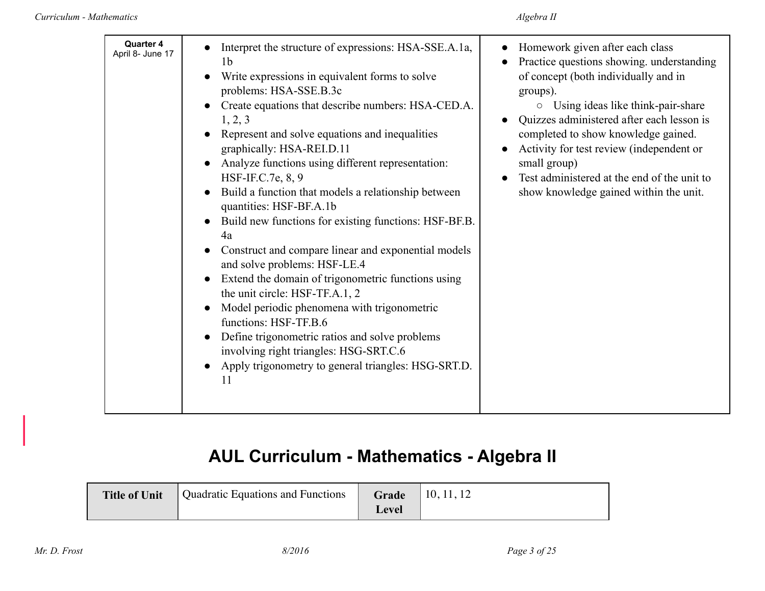| Quarter 4<br>April 8- June 17 | Interpret the structure of expressions: HSA-SSE.A.1a,<br>1b<br>Write expressions in equivalent forms to solve<br>problems: HSA-SSE.B.3c<br>Create equations that describe numbers: HSA-CED.A.<br>1, 2, 3<br>Represent and solve equations and inequalities<br>graphically: HSA-REI.D.11<br>Analyze functions using different representation:<br>$\bullet$<br>HSF-IF.C.7e, 8, 9<br>Build a function that models a relationship between<br>quantities: HSF-BF.A.1b<br>Build new functions for existing functions: HSF-BF.B.<br>4a<br>Construct and compare linear and exponential models<br>and solve problems: HSF-LE.4<br>Extend the domain of trigonometric functions using<br>the unit circle: HSF-TF.A.1, 2<br>Model periodic phenomena with trigonometric<br>functions: HSF-TF.B.6<br>Define trigonometric ratios and solve problems<br>involving right triangles: HSG-SRT.C.6<br>Apply trigonometry to general triangles: HSG-SRT.D.<br>$\bullet$<br>11 | Homework given after each class<br>$\bullet$<br>Practice questions showing. understanding<br>of concept (both individually and in<br>groups).<br>Using ideas like think-pair-share<br>$\circ$<br>Quizzes administered after each lesson is<br>completed to show knowledge gained.<br>Activity for test review (independent or<br>$\bullet$<br>small group)<br>Test administered at the end of the unit to<br>$\bullet$<br>show knowledge gained within the unit. |
|-------------------------------|--------------------------------------------------------------------------------------------------------------------------------------------------------------------------------------------------------------------------------------------------------------------------------------------------------------------------------------------------------------------------------------------------------------------------------------------------------------------------------------------------------------------------------------------------------------------------------------------------------------------------------------------------------------------------------------------------------------------------------------------------------------------------------------------------------------------------------------------------------------------------------------------------------------------------------------------------------------|------------------------------------------------------------------------------------------------------------------------------------------------------------------------------------------------------------------------------------------------------------------------------------------------------------------------------------------------------------------------------------------------------------------------------------------------------------------|
|-------------------------------|--------------------------------------------------------------------------------------------------------------------------------------------------------------------------------------------------------------------------------------------------------------------------------------------------------------------------------------------------------------------------------------------------------------------------------------------------------------------------------------------------------------------------------------------------------------------------------------------------------------------------------------------------------------------------------------------------------------------------------------------------------------------------------------------------------------------------------------------------------------------------------------------------------------------------------------------------------------|------------------------------------------------------------------------------------------------------------------------------------------------------------------------------------------------------------------------------------------------------------------------------------------------------------------------------------------------------------------------------------------------------------------------------------------------------------------|

# **AUL Curriculum - Mathematics - Algebra II**

| <b>Title of Unit</b> | Quadratic Equations and Functions | Grade | 10, 11, 12 |
|----------------------|-----------------------------------|-------|------------|
|                      |                                   | Level |            |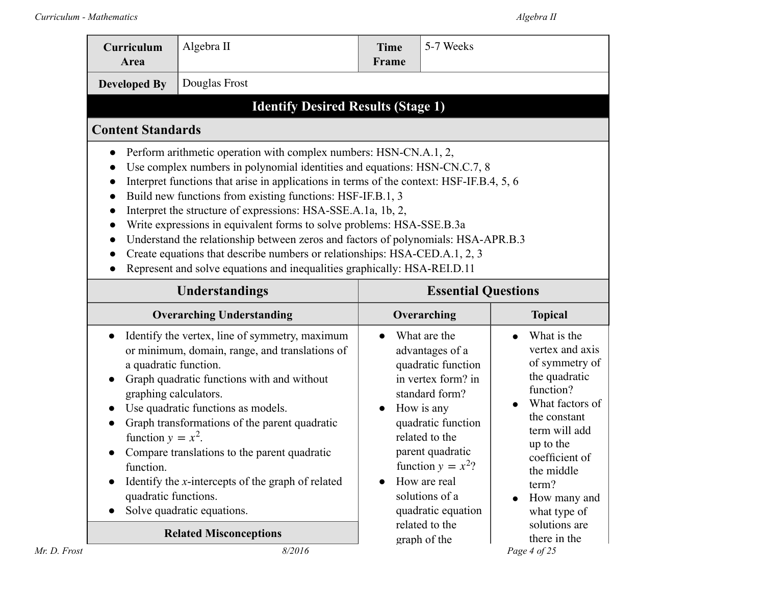| Curriculum<br>Area                                                                                          | Algebra II                                                                                                                                                                                                                                                                                                                                                                                                                                                                                                                                                                                                                  | <b>Time</b><br>Frame       | 5-7 Weeks                                                                                                                                                                                                                                               |                                                                                                                                                                                                                          |
|-------------------------------------------------------------------------------------------------------------|-----------------------------------------------------------------------------------------------------------------------------------------------------------------------------------------------------------------------------------------------------------------------------------------------------------------------------------------------------------------------------------------------------------------------------------------------------------------------------------------------------------------------------------------------------------------------------------------------------------------------------|----------------------------|---------------------------------------------------------------------------------------------------------------------------------------------------------------------------------------------------------------------------------------------------------|--------------------------------------------------------------------------------------------------------------------------------------------------------------------------------------------------------------------------|
| <b>Developed By</b>                                                                                         | Douglas Frost                                                                                                                                                                                                                                                                                                                                                                                                                                                                                                                                                                                                               |                            |                                                                                                                                                                                                                                                         |                                                                                                                                                                                                                          |
|                                                                                                             | <b>Identify Desired Results (Stage 1)</b>                                                                                                                                                                                                                                                                                                                                                                                                                                                                                                                                                                                   |                            |                                                                                                                                                                                                                                                         |                                                                                                                                                                                                                          |
| <b>Content Standards</b>                                                                                    |                                                                                                                                                                                                                                                                                                                                                                                                                                                                                                                                                                                                                             |                            |                                                                                                                                                                                                                                                         |                                                                                                                                                                                                                          |
|                                                                                                             | Use complex numbers in polynomial identities and equations: HSN-CN.C.7, 8<br>Interpret functions that arise in applications in terms of the context: HSF-IF.B.4, 5, 6<br>Build new functions from existing functions: HSF-IF.B.1, 3<br>Interpret the structure of expressions: HSA-SSE.A.1a, 1b, 2,<br>Write expressions in equivalent forms to solve problems: HSA-SSE.B.3a<br>Understand the relationship between zeros and factors of polynomials: HSA-APR.B.3<br>Create equations that describe numbers or relationships: HSA-CED.A.1, 2, 3<br>Represent and solve equations and inequalities graphically: HSA-REI.D.11 |                            |                                                                                                                                                                                                                                                         |                                                                                                                                                                                                                          |
| <b>Understandings</b>                                                                                       |                                                                                                                                                                                                                                                                                                                                                                                                                                                                                                                                                                                                                             | <b>Essential Questions</b> |                                                                                                                                                                                                                                                         |                                                                                                                                                                                                                          |
|                                                                                                             | <b>Overarching Understanding</b>                                                                                                                                                                                                                                                                                                                                                                                                                                                                                                                                                                                            |                            | Overarching                                                                                                                                                                                                                                             | <b>Topical</b>                                                                                                                                                                                                           |
| a quadratic function.<br>graphing calculators.<br>function $y = x^2$ .<br>function.<br>quadratic functions. | Identify the vertex, line of symmetry, maximum<br>or minimum, domain, range, and translations of<br>Graph quadratic functions with and without<br>Use quadratic functions as models.<br>Graph transformations of the parent quadratic<br>Compare translations to the parent quadratic<br>Identify the <i>x</i> -intercepts of the graph of related<br>Solve quadratic equations.                                                                                                                                                                                                                                            |                            | What are the<br>advantages of a<br>quadratic function<br>in vertex form? in<br>standard form?<br>How is any<br>quadratic function<br>related to the<br>parent quadratic<br>function $y = x^2$ ?<br>How are real<br>solutions of a<br>quadratic equation | What is the<br>vertex and axis<br>of symmetry of<br>the quadratic<br>function?<br>What factors of<br>the constant<br>term will add<br>up to the<br>coefficient of<br>the middle<br>term?<br>How many and<br>what type of |
|                                                                                                             | <b>Related Misconceptions</b>                                                                                                                                                                                                                                                                                                                                                                                                                                                                                                                                                                                               |                            | related to the<br>graph of the                                                                                                                                                                                                                          | solutions are<br>there in the                                                                                                                                                                                            |
|                                                                                                             | 8/2016                                                                                                                                                                                                                                                                                                                                                                                                                                                                                                                                                                                                                      |                            |                                                                                                                                                                                                                                                         | Page 4 of 25                                                                                                                                                                                                             |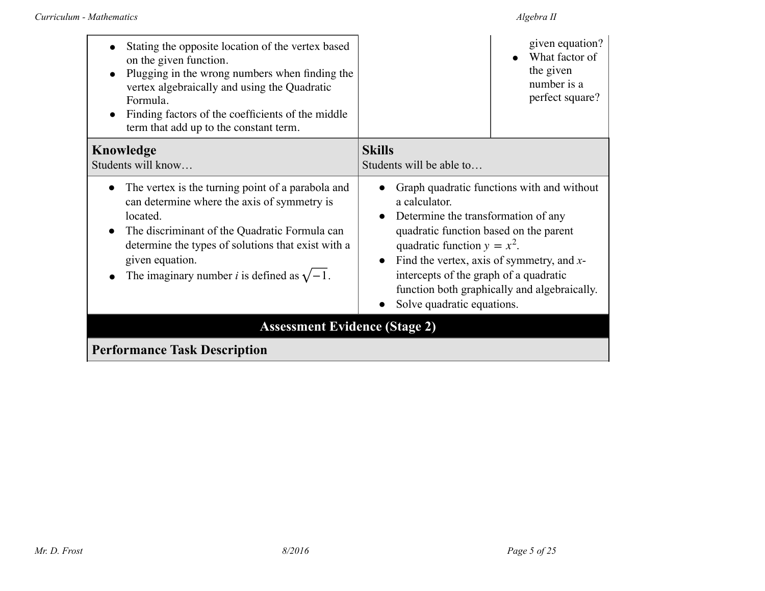| Stating the opposite location of the vertex based<br>on the given function.<br>Plugging in the wrong numbers when finding the<br>$\bullet$<br>vertex algebraically and using the Quadratic<br>Formula.<br>Finding factors of the coefficients of the middle<br>term that add up to the constant term.                         |                                                                                                                                                                                                                                                                                                                                                        | given equation?<br>What factor of<br>the given<br>number is a<br>perfect square? |  |
|-------------------------------------------------------------------------------------------------------------------------------------------------------------------------------------------------------------------------------------------------------------------------------------------------------------------------------|--------------------------------------------------------------------------------------------------------------------------------------------------------------------------------------------------------------------------------------------------------------------------------------------------------------------------------------------------------|----------------------------------------------------------------------------------|--|
| Knowledge<br>Students will know                                                                                                                                                                                                                                                                                               | <b>Skills</b><br>Students will be able to                                                                                                                                                                                                                                                                                                              |                                                                                  |  |
| The vertex is the turning point of a parabola and<br>$\bullet$<br>can determine where the axis of symmetry is<br>located.<br>The discriminant of the Quadratic Formula can<br>$\bullet$<br>determine the types of solutions that exist with a<br>given equation.<br>The imaginary number <i>i</i> is defined as $\sqrt{-1}$ . | Graph quadratic functions with and without<br>a calculator.<br>Determine the transformation of any<br>quadratic function based on the parent<br>quadratic function $y = x^2$ .<br>Find the vertex, axis of symmetry, and $x$ -<br>intercepts of the graph of a quadratic<br>function both graphically and algebraically.<br>Solve quadratic equations. |                                                                                  |  |
| <b>Assessment Evidence (Stage 2)</b>                                                                                                                                                                                                                                                                                          |                                                                                                                                                                                                                                                                                                                                                        |                                                                                  |  |
| <b>Performance Task Description</b>                                                                                                                                                                                                                                                                                           |                                                                                                                                                                                                                                                                                                                                                        |                                                                                  |  |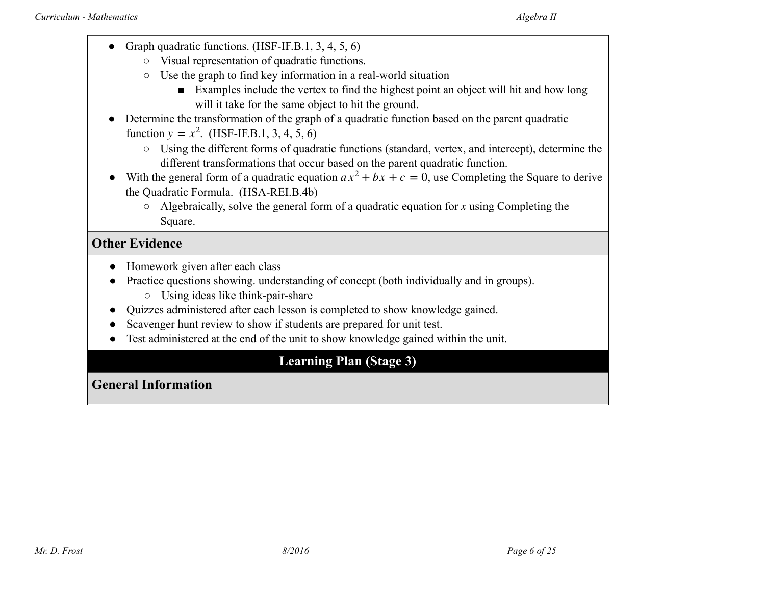- Graph quadratic functions.  $(HSF-IF.B.1, 3, 4, 5, 6)$ 
	- Visual representation of quadratic functions.
	- Use the graph to find key information in a real-world situation
		- Examples include the vertex to find the highest point an object will hit and how long will it take for the same object to hit the ground.
- Determine the transformation of the graph of a quadratic function based on the parent quadratic function  $y = x^2$ . (HSF-IF.B.1, 3, 4, 5, 6)
	- Using the different forms of quadratic functions (standard, vertex, and intercept), determine the different transformations that occur based on the parent quadratic function.
- With the general form of a quadratic equation  $ax^2 + bx + c = 0$ , use Completing the Square to derive the Quadratic Formula. (HSA-REI.B.4b)
	- Algebraically, solve the general form of a quadratic equation for *x* using Completing the Square.

## **Other Evidence**

- Homework given after each class
- Practice questions showing. understanding of concept (both individually and in groups).
	- Using ideas like think-pair-share
- Quizzes administered after each lesson is completed to show knowledge gained.
- Scavenger hunt review to show if students are prepared for unit test.
- Test administered at the end of the unit to show knowledge gained within the unit.

# **Learning Plan (Stage 3)**

**General Information**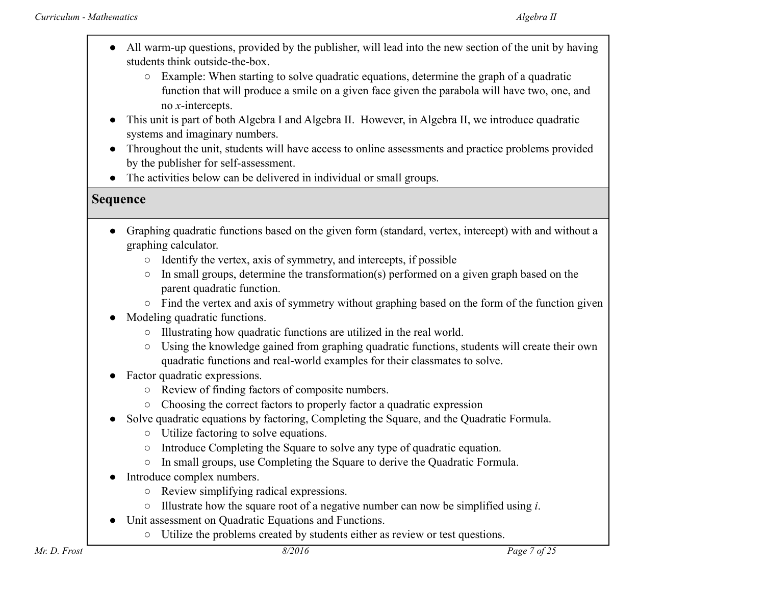- All warm-up questions, provided by the publisher, will lead into the new section of the unit by having students think outside-the-box.
	- Example: When starting to solve quadratic equations, determine the graph of a quadratic function that will produce a smile on a given face given the parabola will have two, one, and no *x*-intercepts.
- This unit is part of both Algebra I and Algebra II. However, in Algebra II, we introduce quadratic systems and imaginary numbers.
- Throughout the unit, students will have access to online assessments and practice problems provided by the publisher for self-assessment.
- The activities below can be delivered in individual or small groups.

#### **Sequence**

- Graphing quadratic functions based on the given form (standard, vertex, intercept) with and without a graphing calculator.
	- Identify the vertex, axis of symmetry, and intercepts, if possible
	- In small groups, determine the transformation(s) performed on a given graph based on the parent quadratic function.
	- Find the vertex and axis of symmetry without graphing based on the form of the function given

#### Modeling quadratic functions.

- Illustrating how quadratic functions are utilized in the real world.
- Using the knowledge gained from graphing quadratic functions, students will create their own quadratic functions and real-world examples for their classmates to solve.
- Factor quadratic expressions.
	- Review of finding factors of composite numbers.
	- Choosing the correct factors to properly factor a quadratic expression
- Solve quadratic equations by factoring, Completing the Square, and the Quadratic Formula.
	- Utilize factoring to solve equations.
	- Introduce Completing the Square to solve any type of quadratic equation.
	- In small groups, use Completing the Square to derive the Quadratic Formula.
- Introduce complex numbers.
	- Review simplifying radical expressions.
	- Illustrate how the square root of a negative number can now be simplified using *i*.
- Unit assessment on Quadratic Equations and Functions.
	- Utilize the problems created by students either as review or test questions.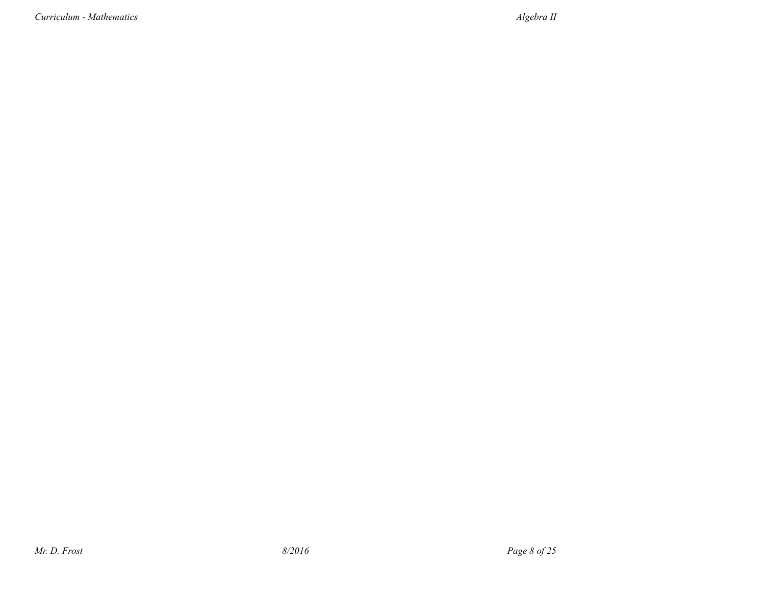*Curriculum - Mathematics Algebra II*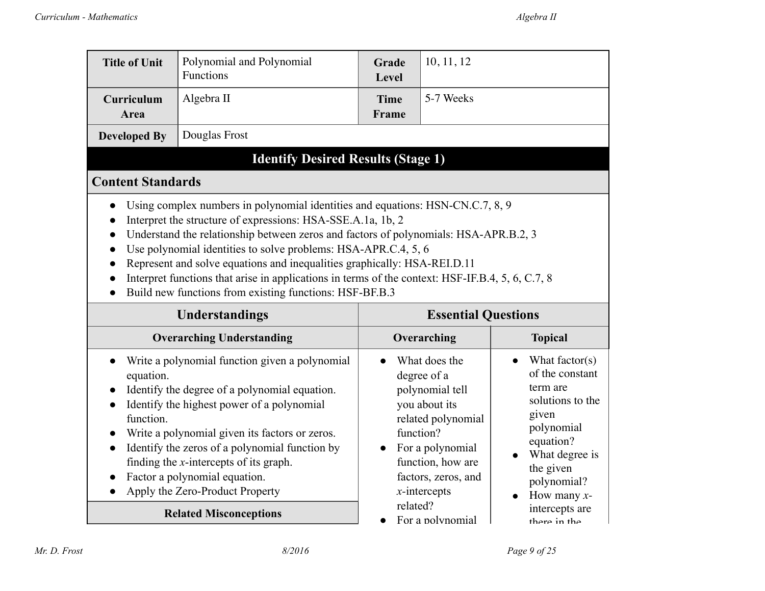| <b>Title of Unit</b>                                                                                                                                                                                                                                                                                                                                                                                                                                                                                                                                                         | Polynomial and Polynomial<br>Functions    | Grade<br>Level         | 10, 11, 12                                                                                                                                                                |                                                                                                                                                                         |
|------------------------------------------------------------------------------------------------------------------------------------------------------------------------------------------------------------------------------------------------------------------------------------------------------------------------------------------------------------------------------------------------------------------------------------------------------------------------------------------------------------------------------------------------------------------------------|-------------------------------------------|------------------------|---------------------------------------------------------------------------------------------------------------------------------------------------------------------------|-------------------------------------------------------------------------------------------------------------------------------------------------------------------------|
| Curriculum<br>Area                                                                                                                                                                                                                                                                                                                                                                                                                                                                                                                                                           | Algebra II                                | <b>Time</b><br>Frame   | 5-7 Weeks                                                                                                                                                                 |                                                                                                                                                                         |
| <b>Developed By</b>                                                                                                                                                                                                                                                                                                                                                                                                                                                                                                                                                          |                                           |                        |                                                                                                                                                                           |                                                                                                                                                                         |
|                                                                                                                                                                                                                                                                                                                                                                                                                                                                                                                                                                              | <b>Identify Desired Results (Stage 1)</b> |                        |                                                                                                                                                                           |                                                                                                                                                                         |
| <b>Content Standards</b>                                                                                                                                                                                                                                                                                                                                                                                                                                                                                                                                                     |                                           |                        |                                                                                                                                                                           |                                                                                                                                                                         |
| Using complex numbers in polynomial identities and equations: HSN-CN.C.7, 8, 9<br>$\bullet$<br>Interpret the structure of expressions: HSA-SSE.A.1a, 1b, 2<br>Understand the relationship between zeros and factors of polynomials: HSA-APR.B.2, 3<br>Use polynomial identities to solve problems: HSA-APR.C.4, 5, 6<br>Represent and solve equations and inequalities graphically: HSA-REI.D.11<br>$\bullet$<br>Interpret functions that arise in applications in terms of the context: HSF-IF.B.4, 5, 6, C.7, 8<br>Build new functions from existing functions: HSF-BF.B.3 |                                           |                        |                                                                                                                                                                           |                                                                                                                                                                         |
|                                                                                                                                                                                                                                                                                                                                                                                                                                                                                                                                                                              | Understandings                            |                        | <b>Essential Questions</b>                                                                                                                                                |                                                                                                                                                                         |
|                                                                                                                                                                                                                                                                                                                                                                                                                                                                                                                                                                              | <b>Overarching Understanding</b>          |                        | Overarching                                                                                                                                                               | <b>Topical</b>                                                                                                                                                          |
| Write a polynomial function given a polynomial<br>equation.<br>Identify the degree of a polynomial equation.<br>Identify the highest power of a polynomial<br>$\bullet$<br>function.<br>Write a polynomial given its factors or zeros.<br>Identify the zeros of a polynomial function by<br>finding the $x$ -intercepts of its graph.<br>Factor a polynomial equation.<br>Apply the Zero-Product Property                                                                                                                                                                    |                                           | $\bullet$<br>function? | What does the<br>degree of a<br>polynomial tell<br>you about its<br>related polynomial<br>For a polynomial<br>function, how are<br>factors, zeros, and<br>$x$ -intercepts | What $factor(s)$<br>of the constant<br>term are<br>solutions to the<br>given<br>polynomial<br>equation?<br>What degree is<br>the given<br>polynomial?<br>How many $x$ - |
|                                                                                                                                                                                                                                                                                                                                                                                                                                                                                                                                                                              | <b>Related Misconceptions</b>             | related?               | For a polynomial                                                                                                                                                          | intercepts are<br>there in the                                                                                                                                          |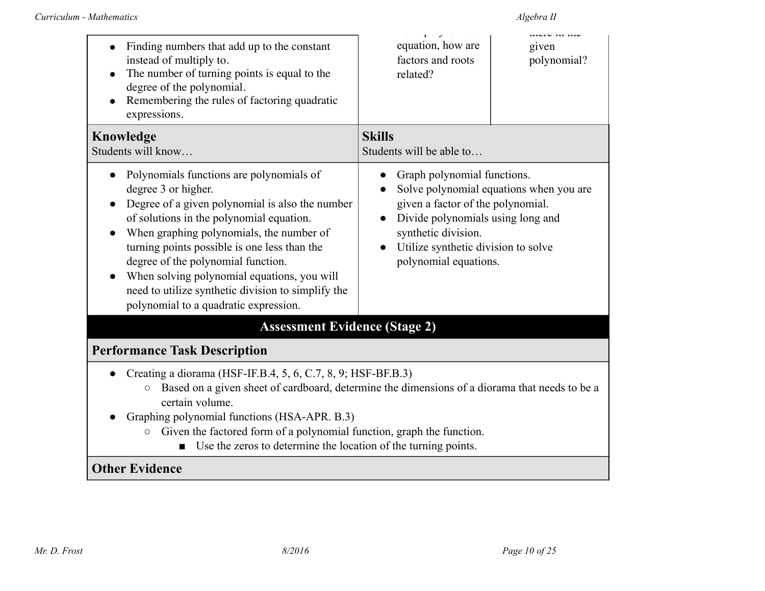| Finding numbers that add up to the constant<br>$\bullet$<br>instead of multiply to.<br>The number of turning points is equal to the<br>degree of the polynomial.<br>Remembering the rules of factoring quadratic<br>expressions.                                                                                                                                                                                                                                         | equation, how are<br>factors and roots<br>related?                                                                                                                                                                                                                | .<br>given<br>polynomial? |  |  |
|--------------------------------------------------------------------------------------------------------------------------------------------------------------------------------------------------------------------------------------------------------------------------------------------------------------------------------------------------------------------------------------------------------------------------------------------------------------------------|-------------------------------------------------------------------------------------------------------------------------------------------------------------------------------------------------------------------------------------------------------------------|---------------------------|--|--|
| Knowledge<br>Students will know                                                                                                                                                                                                                                                                                                                                                                                                                                          | <b>Skills</b><br>Students will be able to                                                                                                                                                                                                                         |                           |  |  |
| Polynomials functions are polynomials of<br>$\bullet$<br>degree 3 or higher.<br>Degree of a given polynomial is also the number<br>$\bullet$<br>of solutions in the polynomial equation.<br>When graphing polynomials, the number of<br>turning points possible is one less than the<br>degree of the polynomial function.<br>When solving polynomial equations, you will<br>need to utilize synthetic division to simplify the<br>polynomial to a quadratic expression. | Graph polynomial functions.<br>$\bullet$<br>Solve polynomial equations when you are<br>given a factor of the polynomial.<br>Divide polynomials using long and<br>$\bullet$<br>synthetic division.<br>Utilize synthetic division to solve<br>polynomial equations. |                           |  |  |
| <b>Assessment Evidence (Stage 2)</b>                                                                                                                                                                                                                                                                                                                                                                                                                                     |                                                                                                                                                                                                                                                                   |                           |  |  |
| <b>Performance Task Description</b>                                                                                                                                                                                                                                                                                                                                                                                                                                      |                                                                                                                                                                                                                                                                   |                           |  |  |
| Creating a diorama (HSF-IF.B.4, 5, 6, C.7, 8, 9; HSF-BF.B.3)<br>Based on a given sheet of cardboard, determine the dimensions of a diorama that needs to be a<br>$\bigcirc$<br>certain volume.<br>Graphing polynomial functions (HSA-APR. B.3)<br>Given the factored form of a polynomial function, graph the function.<br>$\bigcirc$<br>Use the zeros to determine the location of the turning points.                                                                  |                                                                                                                                                                                                                                                                   |                           |  |  |
| <b>Other Evidence</b>                                                                                                                                                                                                                                                                                                                                                                                                                                                    |                                                                                                                                                                                                                                                                   |                           |  |  |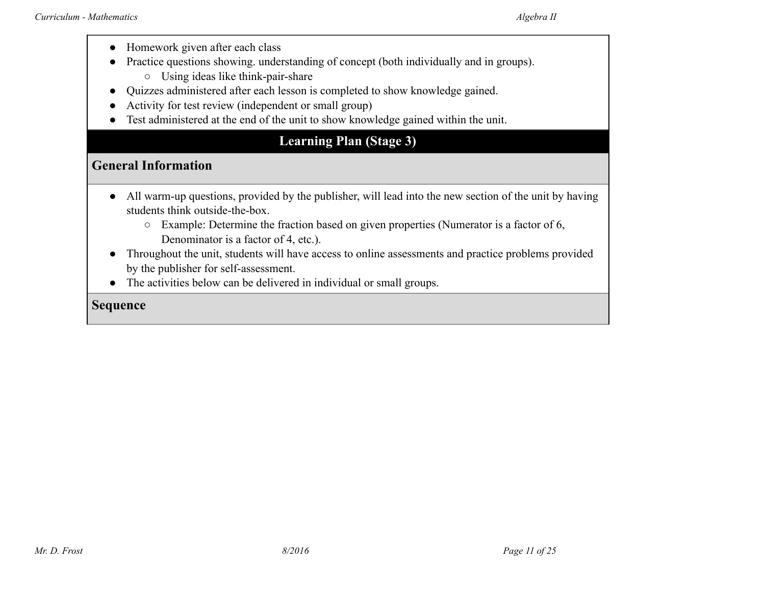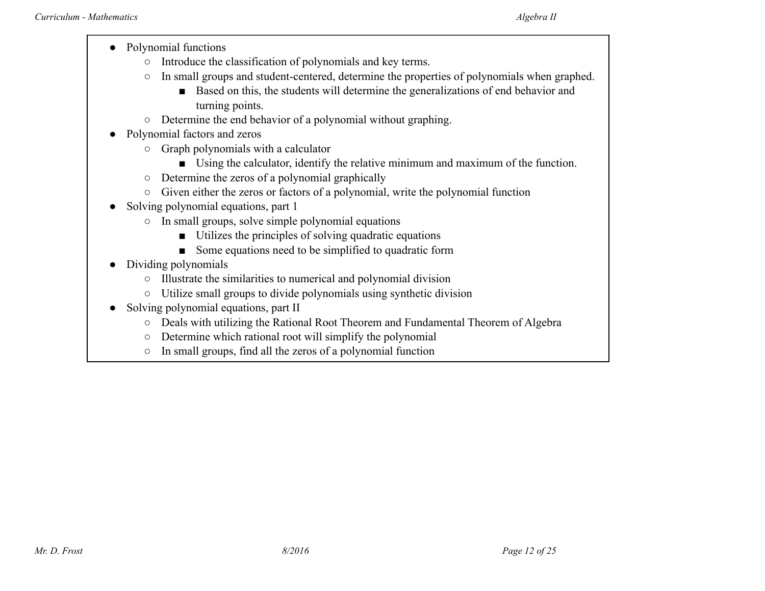- Polynomial functions
	- Introduce the classification of polynomials and key terms.
	- In small groups and student-centered, determine the properties of polynomials when graphed.
		- Based on this, the students will determine the generalizations of end behavior and turning points.
	- Determine the end behavior of a polynomial without graphing.
- Polynomial factors and zeros
	- Graph polynomials with a calculator
		- Using the calculator, identify the relative minimum and maximum of the function.
	- Determine the zeros of a polynomial graphically
	- Given either the zeros or factors of a polynomial, write the polynomial function
- Solving polynomial equations, part 1
	- In small groups, solve simple polynomial equations
		- Utilizes the principles of solving quadratic equations
		- Some equations need to be simplified to quadratic form
- Dividing polynomials
	- Illustrate the similarities to numerical and polynomial division
	- Utilize small groups to divide polynomials using synthetic division
- Solving polynomial equations, part II
	- Deals with utilizing the Rational Root Theorem and Fundamental Theorem of Algebra
	- Determine which rational root will simplify the polynomial
	- In small groups, find all the zeros of a polynomial function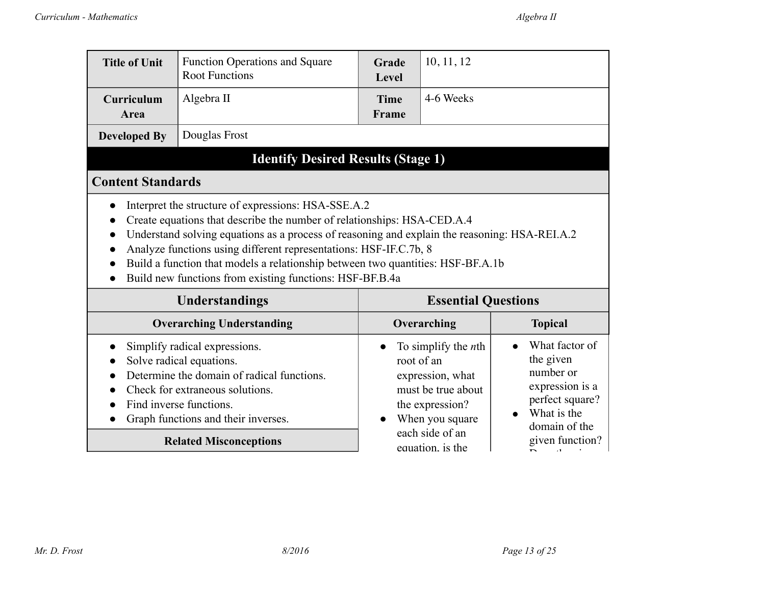| <b>Title of Unit</b>                                                                                                                                                                                                                                                                                                                                                                                                                                                                                       | <b>Function Operations and Square</b><br><b>Root Functions</b> | Grade<br>Level       | 10, 11, 12                                                                                                                                         |                                                                                                                                   |
|------------------------------------------------------------------------------------------------------------------------------------------------------------------------------------------------------------------------------------------------------------------------------------------------------------------------------------------------------------------------------------------------------------------------------------------------------------------------------------------------------------|----------------------------------------------------------------|----------------------|----------------------------------------------------------------------------------------------------------------------------------------------------|-----------------------------------------------------------------------------------------------------------------------------------|
| <b>Curriculum</b><br>Area                                                                                                                                                                                                                                                                                                                                                                                                                                                                                  | Algebra II                                                     | <b>Time</b><br>Frame | 4-6 Weeks                                                                                                                                          |                                                                                                                                   |
| <b>Developed By</b>                                                                                                                                                                                                                                                                                                                                                                                                                                                                                        | Douglas Frost                                                  |                      |                                                                                                                                                    |                                                                                                                                   |
|                                                                                                                                                                                                                                                                                                                                                                                                                                                                                                            | <b>Identify Desired Results (Stage 1)</b>                      |                      |                                                                                                                                                    |                                                                                                                                   |
| <b>Content Standards</b>                                                                                                                                                                                                                                                                                                                                                                                                                                                                                   |                                                                |                      |                                                                                                                                                    |                                                                                                                                   |
| Interpret the structure of expressions: HSA-SSE.A.2<br>Create equations that describe the number of relationships: HSA-CED.A.4<br>Understand solving equations as a process of reasoning and explain the reasoning: HSA-REI.A.2<br>Analyze functions using different representations: HSF-IF.C.7b, 8<br>Build a function that models a relationship between two quantities: HSF-BF.A.1b<br>Build new functions from existing functions: HSF-BF.B.4a<br><b>Essential Questions</b><br><b>Understandings</b> |                                                                |                      |                                                                                                                                                    |                                                                                                                                   |
|                                                                                                                                                                                                                                                                                                                                                                                                                                                                                                            | <b>Overarching Understanding</b>                               |                      | Overarching                                                                                                                                        | <b>Topical</b>                                                                                                                    |
| Simplify radical expressions.<br>Solve radical equations.<br>Determine the domain of radical functions.<br>Check for extraneous solutions.<br>Find inverse functions.<br>Graph functions and their inverses.<br><b>Related Misconceptions</b>                                                                                                                                                                                                                                                              |                                                                | root of an           | To simplify the <i>n</i> th<br>expression, what<br>must be true about<br>the expression?<br>When you square<br>each side of an<br>equation, is the | What factor of<br>the given<br>number or<br>expression is a<br>perfect square?<br>What is the<br>domain of the<br>given function? |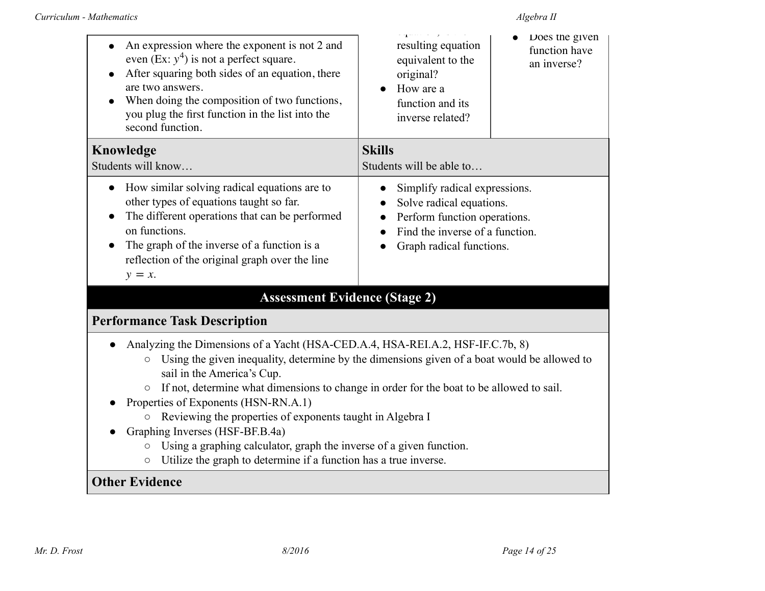| An expression where the exponent is not 2 and<br>even (Ex: $y^4$ ) is not a perfect square.<br>After squaring both sides of an equation, there<br>are two answers.<br>When doing the composition of two functions,<br>you plug the first function in the list into the<br>second function.                                                                                                                                                                                                                                                                                                                                                              | Does the given<br>resulting equation<br>function have<br>equivalent to the<br>an inverse?<br>original?<br>How are a<br>function and its<br>inverse related?           |  |  |  |
|---------------------------------------------------------------------------------------------------------------------------------------------------------------------------------------------------------------------------------------------------------------------------------------------------------------------------------------------------------------------------------------------------------------------------------------------------------------------------------------------------------------------------------------------------------------------------------------------------------------------------------------------------------|-----------------------------------------------------------------------------------------------------------------------------------------------------------------------|--|--|--|
| <b>Knowledge</b><br>Students will know                                                                                                                                                                                                                                                                                                                                                                                                                                                                                                                                                                                                                  | <b>Skills</b><br>Students will be able to                                                                                                                             |  |  |  |
| How similar solving radical equations are to<br>$\bullet$<br>other types of equations taught so far.<br>The different operations that can be performed<br>$\bullet$<br>on functions.<br>The graph of the inverse of a function is a<br>reflection of the original graph over the line<br>$y = x$ .                                                                                                                                                                                                                                                                                                                                                      | Simplify radical expressions.<br>$\bullet$<br>Solve radical equations.<br>Perform function operations.<br>Find the inverse of a function.<br>Graph radical functions. |  |  |  |
| <b>Assessment Evidence (Stage 2)</b>                                                                                                                                                                                                                                                                                                                                                                                                                                                                                                                                                                                                                    |                                                                                                                                                                       |  |  |  |
| <b>Performance Task Description</b>                                                                                                                                                                                                                                                                                                                                                                                                                                                                                                                                                                                                                     |                                                                                                                                                                       |  |  |  |
| Analyzing the Dimensions of a Yacht (HSA-CED.A.4, HSA-REI.A.2, HSF-IF.C.7b, 8)<br>Using the given inequality, determine by the dimensions given of a boat would be allowed to<br>$\circ$<br>sail in the America's Cup.<br>If not, determine what dimensions to change in order for the boat to be allowed to sail.<br>$\bigcirc$<br>Properties of Exponents (HSN-RN.A.1)<br>Reviewing the properties of exponents taught in Algebra I<br>$\circ$<br>Graphing Inverses (HSF-BF.B.4a)<br>Using a graphing calculator, graph the inverse of a given function.<br>$\circ$<br>Utilize the graph to determine if a function has a true inverse.<br>$\bigcirc$ |                                                                                                                                                                       |  |  |  |
| <b>Other Evidence</b>                                                                                                                                                                                                                                                                                                                                                                                                                                                                                                                                                                                                                                   |                                                                                                                                                                       |  |  |  |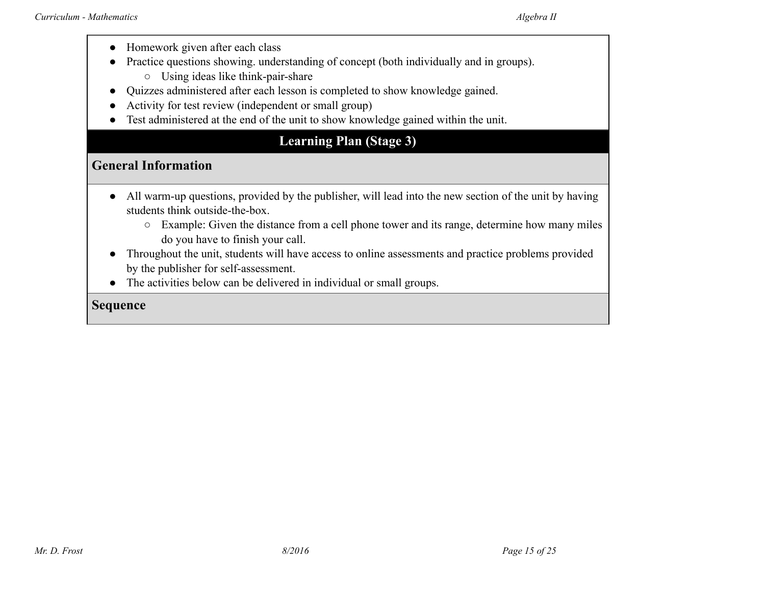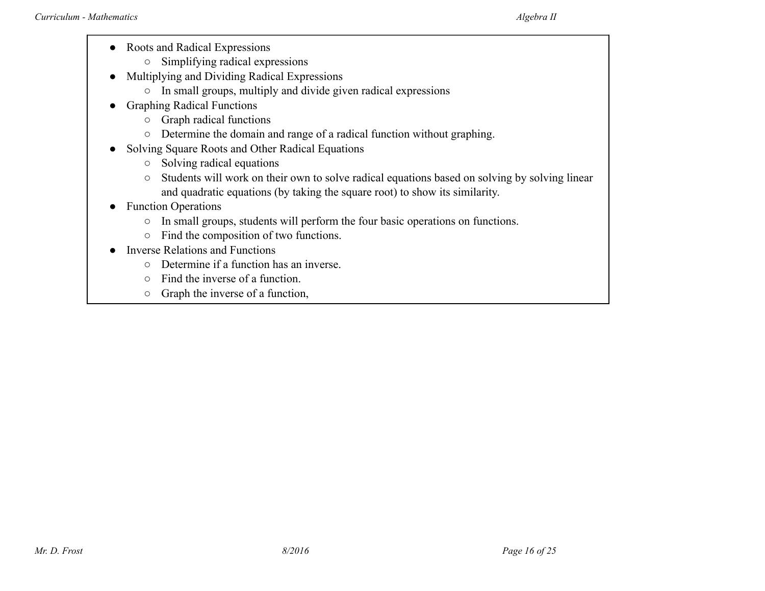- Roots and Radical Expressions
	- Simplifying radical expressions
- Multiplying and Dividing Radical Expressions
	- In small groups, multiply and divide given radical expressions
- Graphing Radical Functions
	- Graph radical functions
	- Determine the domain and range of a radical function without graphing.
- Solving Square Roots and Other Radical Equations
	- Solving radical equations
	- Students will work on their own to solve radical equations based on solving by solving linear and quadratic equations (by taking the square root) to show its similarity.
- Function Operations
	- In small groups, students will perform the four basic operations on functions.
	- Find the composition of two functions.
- Inverse Relations and Functions
	- Determine if a function has an inverse.
	- Find the inverse of a function.
	- Graph the inverse of a function,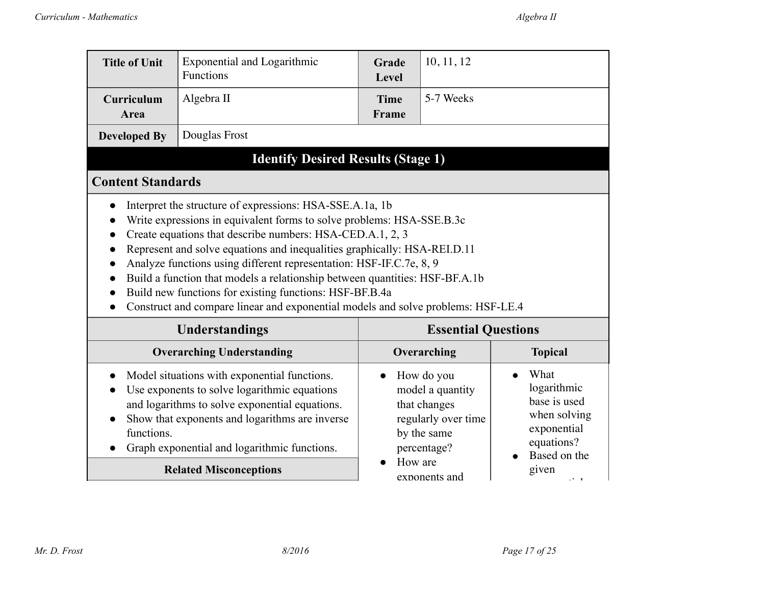| <b>Title of Unit</b>                                                                                                                                                                                                                                                                                                                                                                                                                                                                                                                                                            | <b>Exponential and Logarithmic</b><br><b>Functions</b> | Grade<br>Level       | 10, 11, 12                                                                                                           |                                                                                                           |
|---------------------------------------------------------------------------------------------------------------------------------------------------------------------------------------------------------------------------------------------------------------------------------------------------------------------------------------------------------------------------------------------------------------------------------------------------------------------------------------------------------------------------------------------------------------------------------|--------------------------------------------------------|----------------------|----------------------------------------------------------------------------------------------------------------------|-----------------------------------------------------------------------------------------------------------|
| <b>Curriculum</b><br>Area                                                                                                                                                                                                                                                                                                                                                                                                                                                                                                                                                       | Algebra II                                             | <b>Time</b><br>Frame | 5-7 Weeks                                                                                                            |                                                                                                           |
| <b>Developed By</b>                                                                                                                                                                                                                                                                                                                                                                                                                                                                                                                                                             | Douglas Frost                                          |                      |                                                                                                                      |                                                                                                           |
|                                                                                                                                                                                                                                                                                                                                                                                                                                                                                                                                                                                 | <b>Identify Desired Results (Stage 1)</b>              |                      |                                                                                                                      |                                                                                                           |
| <b>Content Standards</b>                                                                                                                                                                                                                                                                                                                                                                                                                                                                                                                                                        |                                                        |                      |                                                                                                                      |                                                                                                           |
| Interpret the structure of expressions: HSA-SSE.A.1a, 1b<br>Write expressions in equivalent forms to solve problems: HSA-SSE.B.3c<br>Create equations that describe numbers: HSA-CED.A.1, 2, 3<br>Represent and solve equations and inequalities graphically: HSA-REI.D.11<br>Analyze functions using different representation: HSF-IF.C.7e, 8, 9<br>Build a function that models a relationship between quantities: HSF-BF.A.1b<br>Build new functions for existing functions: HSF-BF.B.4a<br>Construct and compare linear and exponential models and solve problems: HSF-LE.4 |                                                        |                      |                                                                                                                      |                                                                                                           |
|                                                                                                                                                                                                                                                                                                                                                                                                                                                                                                                                                                                 | Understandings                                         |                      | <b>Essential Questions</b>                                                                                           |                                                                                                           |
|                                                                                                                                                                                                                                                                                                                                                                                                                                                                                                                                                                                 | <b>Overarching Understanding</b>                       |                      | Overarching                                                                                                          | <b>Topical</b>                                                                                            |
| Model situations with exponential functions.<br>Use exponents to solve logarithmic equations<br>and logarithms to solve exponential equations.<br>Show that exponents and logarithms are inverse<br>functions.<br>Graph exponential and logarithmic functions.<br><b>Related Misconceptions</b>                                                                                                                                                                                                                                                                                 |                                                        | How are              | How do you<br>model a quantity<br>that changes<br>regularly over time<br>by the same<br>percentage?<br>exponents and | What<br>logarithmic<br>base is used<br>when solving<br>exponential<br>equations?<br>Based on the<br>given |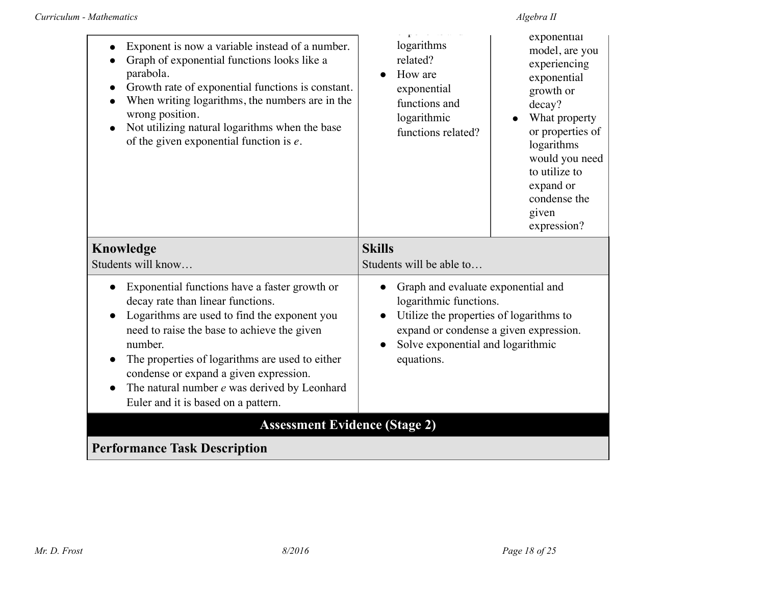| Exponent is now a variable instead of a number.<br>Graph of exponential functions looks like a<br>parabola.<br>Growth rate of exponential functions is constant.<br>When writing logarithms, the numbers are in the<br>wrong position.<br>Not utilizing natural logarithms when the base<br>$\bullet$<br>of the given exponential function is $e$ .                                                          | logarithms<br>related?<br>How are<br>$\bullet$<br>exponential<br>functions and<br>logarithmic<br>functions related?                                                                                  | exponential<br>model, are you<br>experiencing<br>exponential<br>growth or<br>decay?<br>What property<br>or properties of<br>logarithms<br>would you need<br>to utilize to<br>expand or<br>condense the<br>given<br>expression? |  |
|--------------------------------------------------------------------------------------------------------------------------------------------------------------------------------------------------------------------------------------------------------------------------------------------------------------------------------------------------------------------------------------------------------------|------------------------------------------------------------------------------------------------------------------------------------------------------------------------------------------------------|--------------------------------------------------------------------------------------------------------------------------------------------------------------------------------------------------------------------------------|--|
| Knowledge                                                                                                                                                                                                                                                                                                                                                                                                    | <b>Skills</b>                                                                                                                                                                                        |                                                                                                                                                                                                                                |  |
| Students will know                                                                                                                                                                                                                                                                                                                                                                                           | Students will be able to                                                                                                                                                                             |                                                                                                                                                                                                                                |  |
| Exponential functions have a faster growth or<br>decay rate than linear functions.<br>Logarithms are used to find the exponent you<br>need to raise the base to achieve the given<br>number.<br>The properties of logarithms are used to either<br>$\bullet$<br>condense or expand a given expression.<br>The natural number $e$ was derived by Leonhard<br>$\bullet$<br>Euler and it is based on a pattern. | Graph and evaluate exponential and<br>logarithmic functions.<br>Utilize the properties of logarithms to<br>expand or condense a given expression.<br>Solve exponential and logarithmic<br>equations. |                                                                                                                                                                                                                                |  |
| <b>Assessment Evidence (Stage 2)</b>                                                                                                                                                                                                                                                                                                                                                                         |                                                                                                                                                                                                      |                                                                                                                                                                                                                                |  |
| <b>Performance Task Description</b>                                                                                                                                                                                                                                                                                                                                                                          |                                                                                                                                                                                                      |                                                                                                                                                                                                                                |  |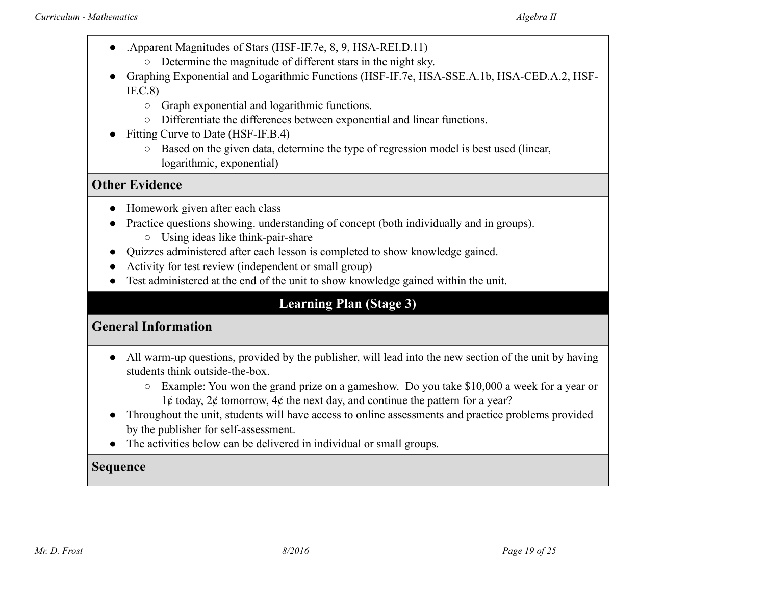- .Apparent Magnitudes of Stars (HSF-IF.7e, 8, 9, HSA-REI.D.11)
	- Determine the magnitude of different stars in the night sky.
- Graphing Exponential and Logarithmic Functions (HSF-IF.7e, HSA-SSE.A.1b, HSA-CED.A.2, HSF- $IF.C.8)$ 
	- Graph exponential and logarithmic functions.
	- Differentiate the differences between exponential and linear functions.
- Fitting Curve to Date (HSF-IF.B.4)
	- Based on the given data, determine the type of regression model is best used (linear, logarithmic, exponential)

#### **Other Evidence**

- Homework given after each class
- Practice questions showing. understanding of concept (both individually and in groups).
	- Using ideas like think-pair-share
- Quizzes administered after each lesson is completed to show knowledge gained.
- Activity for test review (independent or small group)
- Test administered at the end of the unit to show knowledge gained within the unit.

# **Learning Plan (Stage 3)**

#### **General Information**

- All warm-up questions, provided by the publisher, will lead into the new section of the unit by having students think outside-the-box.
	- Example: You won the grand prize on a gameshow. Do you take \$10,000 a week for a year or  $1¢$  today,  $2¢$  tomorrow,  $4¢$  the next day, and continue the pattern for a year?
- Throughout the unit, students will have access to online assessments and practice problems provided by the publisher for self-assessment.
- The activities below can be delivered in individual or small groups.

#### **Sequence**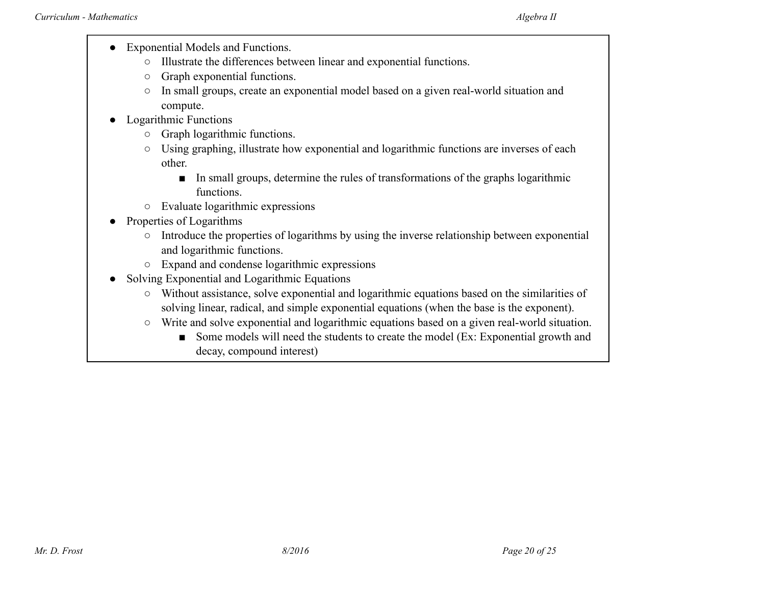- Exponential Models and Functions.
	- Illustrate the differences between linear and exponential functions.
	- Graph exponential functions.
	- In small groups, create an exponential model based on a given real-world situation and compute.
- Logarithmic Functions
	- Graph logarithmic functions.
	- Using graphing, illustrate how exponential and logarithmic functions are inverses of each other.
		- In small groups, determine the rules of transformations of the graphs logarithmic functions.
	- Evaluate logarithmic expressions
- Properties of Logarithms
	- Introduce the properties of logarithms by using the inverse relationship between exponential and logarithmic functions.
	- Expand and condense logarithmic expressions
- Solving Exponential and Logarithmic Equations
	- Without assistance, solve exponential and logarithmic equations based on the similarities of solving linear, radical, and simple exponential equations (when the base is the exponent).
	- Write and solve exponential and logarithmic equations based on a given real-world situation.
		- Some models will need the students to create the model (Ex: Exponential growth and decay, compound interest)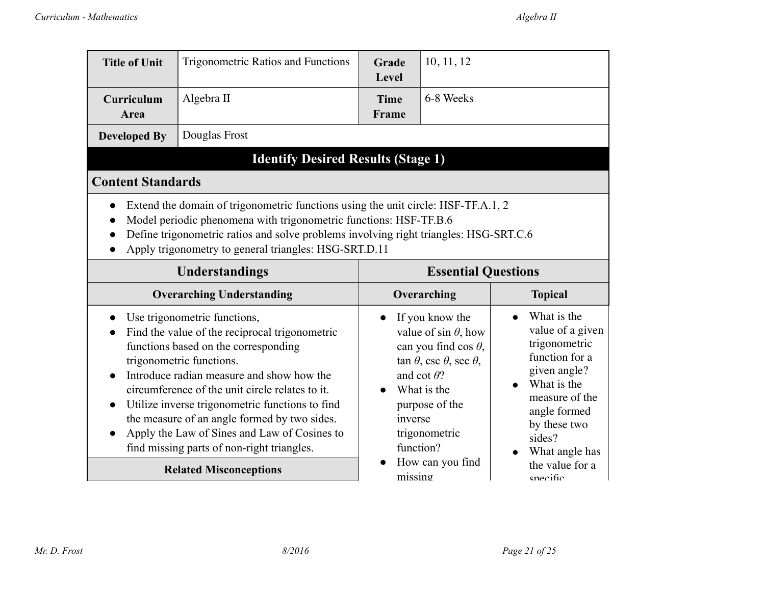| <b>Title of Unit</b>                                                                                                                                                                                                                                                                                     | <b>Trigonometric Ratios and Functions</b>                                                                                                                                                                                                                                                                                                                                                                                                           | Grade<br>Level             | 10, 11, 12                                                                                                                                                                                              |                                                                                                                                                                                 |  |
|----------------------------------------------------------------------------------------------------------------------------------------------------------------------------------------------------------------------------------------------------------------------------------------------------------|-----------------------------------------------------------------------------------------------------------------------------------------------------------------------------------------------------------------------------------------------------------------------------------------------------------------------------------------------------------------------------------------------------------------------------------------------------|----------------------------|---------------------------------------------------------------------------------------------------------------------------------------------------------------------------------------------------------|---------------------------------------------------------------------------------------------------------------------------------------------------------------------------------|--|
| Curriculum<br>Area                                                                                                                                                                                                                                                                                       | Algebra II                                                                                                                                                                                                                                                                                                                                                                                                                                          | <b>Time</b><br>Frame       | 6-8 Weeks                                                                                                                                                                                               |                                                                                                                                                                                 |  |
| <b>Developed By</b>                                                                                                                                                                                                                                                                                      | Douglas Frost                                                                                                                                                                                                                                                                                                                                                                                                                                       |                            |                                                                                                                                                                                                         |                                                                                                                                                                                 |  |
| <b>Identify Desired Results (Stage 1)</b>                                                                                                                                                                                                                                                                |                                                                                                                                                                                                                                                                                                                                                                                                                                                     |                            |                                                                                                                                                                                                         |                                                                                                                                                                                 |  |
| <b>Content Standards</b>                                                                                                                                                                                                                                                                                 |                                                                                                                                                                                                                                                                                                                                                                                                                                                     |                            |                                                                                                                                                                                                         |                                                                                                                                                                                 |  |
| Extend the domain of trigonometric functions using the unit circle: HSF-TF.A.1, 2<br>Model periodic phenomena with trigonometric functions: HSF-TF.B.6<br>Define trigonometric ratios and solve problems involving right triangles: HSG-SRT.C.6<br>Apply trigonometry to general triangles: HSG-SRT.D.11 |                                                                                                                                                                                                                                                                                                                                                                                                                                                     |                            |                                                                                                                                                                                                         |                                                                                                                                                                                 |  |
| Understandings                                                                                                                                                                                                                                                                                           |                                                                                                                                                                                                                                                                                                                                                                                                                                                     | <b>Essential Questions</b> |                                                                                                                                                                                                         |                                                                                                                                                                                 |  |
| <b>Overarching Understanding</b>                                                                                                                                                                                                                                                                         |                                                                                                                                                                                                                                                                                                                                                                                                                                                     |                            | Overarching                                                                                                                                                                                             | <b>Topical</b>                                                                                                                                                                  |  |
| $\bullet$<br>$\bullet$                                                                                                                                                                                                                                                                                   | Use trigonometric functions,<br>Find the value of the reciprocal trigonometric<br>functions based on the corresponding<br>trigonometric functions.<br>Introduce radian measure and show how the<br>circumference of the unit circle relates to it.<br>Utilize inverse trigonometric functions to find<br>the measure of an angle formed by two sides.<br>Apply the Law of Sines and Law of Cosines to<br>find missing parts of non-right triangles. | inverse<br>function?       | If you know the<br>value of $\sin \theta$ , how<br>can you find cos $\theta$ ,<br>$\tan \theta$ , csc $\theta$ , sec $\theta$ ,<br>and cot $\theta$ ?<br>What is the<br>purpose of the<br>trigonometric | What is the<br>value of a given<br>trigonometric<br>function for a<br>given angle?<br>What is the<br>measure of the<br>angle formed<br>by these two<br>sides?<br>What angle has |  |
|                                                                                                                                                                                                                                                                                                          | <b>Related Misconceptions</b>                                                                                                                                                                                                                                                                                                                                                                                                                       | missing                    | How can you find                                                                                                                                                                                        | the value for a<br>specific                                                                                                                                                     |  |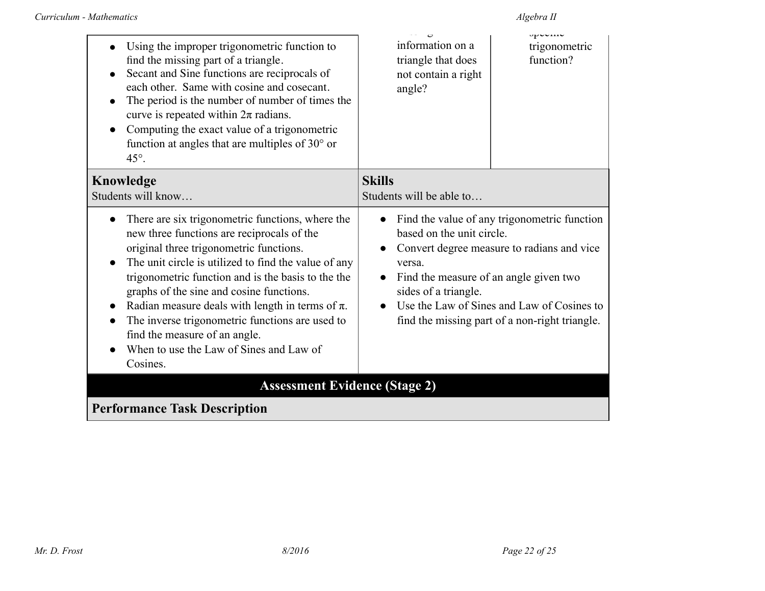| Using the improper trigonometric function to<br>find the missing part of a triangle.<br>Secant and Sine functions are reciprocals of<br>each other. Same with cosine and cosecant.<br>The period is the number of number of times the<br>$\bullet$<br>curve is repeated within $2\pi$ radians.<br>Computing the exact value of a trigonometric<br>$\bullet$<br>function at angles that are multiples of $30^{\circ}$ or<br>$45^\circ$ .                                                                                                       | information on a<br>triangle that does<br>not contain a right<br>angle?                                                                                                                                                                                                                                                                    | upoomo<br>trigonometric<br>function? |  |  |  |
|-----------------------------------------------------------------------------------------------------------------------------------------------------------------------------------------------------------------------------------------------------------------------------------------------------------------------------------------------------------------------------------------------------------------------------------------------------------------------------------------------------------------------------------------------|--------------------------------------------------------------------------------------------------------------------------------------------------------------------------------------------------------------------------------------------------------------------------------------------------------------------------------------------|--------------------------------------|--|--|--|
| Knowledge<br>Students will know                                                                                                                                                                                                                                                                                                                                                                                                                                                                                                               | <b>Skills</b><br>Students will be able to                                                                                                                                                                                                                                                                                                  |                                      |  |  |  |
| There are six trigonometric functions, where the<br>new three functions are reciprocals of the<br>original three trigonometric functions.<br>The unit circle is utilized to find the value of any<br>$\bullet$<br>trigonometric function and is the basis to the the<br>graphs of the sine and cosine functions.<br>Radian measure deals with length in terms of $\pi$ .<br>$\bullet$<br>The inverse trigonometric functions are used to<br>$\bullet$<br>find the measure of an angle.<br>When to use the Law of Sines and Law of<br>Cosines. | Find the value of any trigonometric function<br>$\bullet$<br>based on the unit circle.<br>Convert degree measure to radians and vice<br>$\bullet$<br>versa.<br>Find the measure of an angle given two<br>sides of a triangle.<br>Use the Law of Sines and Law of Cosines to<br>$\bullet$<br>find the missing part of a non-right triangle. |                                      |  |  |  |
| <b>Assessment Evidence (Stage 2)</b>                                                                                                                                                                                                                                                                                                                                                                                                                                                                                                          |                                                                                                                                                                                                                                                                                                                                            |                                      |  |  |  |
| <b>Performance Task Description</b>                                                                                                                                                                                                                                                                                                                                                                                                                                                                                                           |                                                                                                                                                                                                                                                                                                                                            |                                      |  |  |  |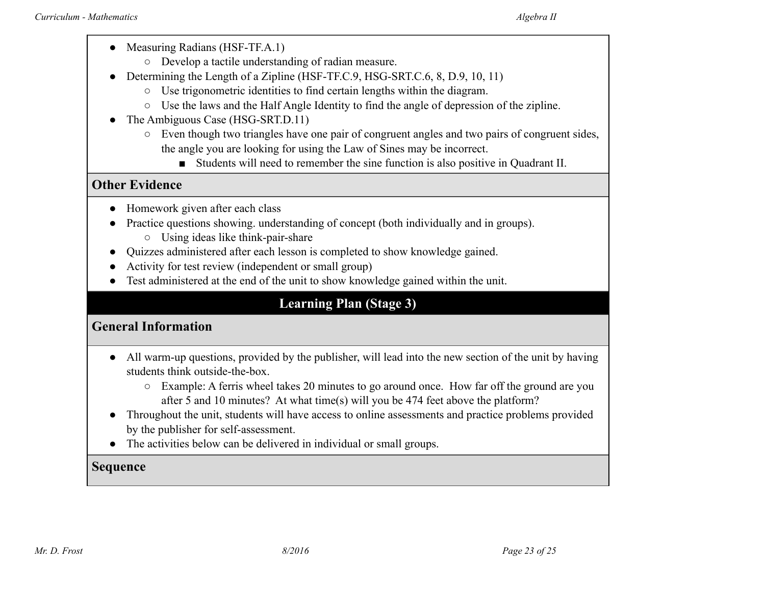- Measuring Radians (HSF-TF.A.1)
	- Develop a tactile understanding of radian measure.
- Determining the Length of a Zipline (HSF-TF.C.9, HSG-SRT.C.6, 8, D.9, 10, 11)
	- Use trigonometric identities to find certain lengths within the diagram.
	- Use the laws and the Half Angle Identity to find the angle of depression of the zipline.
- The Ambiguous Case (HSG-SRT.D.11)
	- Even though two triangles have one pair of congruent angles and two pairs of congruent sides, the angle you are looking for using the Law of Sines may be incorrect.
		- Students will need to remember the sine function is also positive in Quadrant II.

## **Other Evidence**

- Homework given after each class
- Practice questions showing. understanding of concept (both individually and in groups).
	- Using ideas like think-pair-share
- Quizzes administered after each lesson is completed to show knowledge gained.
- Activity for test review (independent or small group)
- Test administered at the end of the unit to show knowledge gained within the unit.

# **Learning Plan (Stage 3)**

#### **General Information**

- All warm-up questions, provided by the publisher, will lead into the new section of the unit by having students think outside-the-box.
	- Example: A ferris wheel takes 20 minutes to go around once. How far off the ground are you after 5 and 10 minutes? At what time(s) will you be 474 feet above the platform?
- Throughout the unit, students will have access to online assessments and practice problems provided by the publisher for self-assessment.
- The activities below can be delivered in individual or small groups.

#### **Sequence**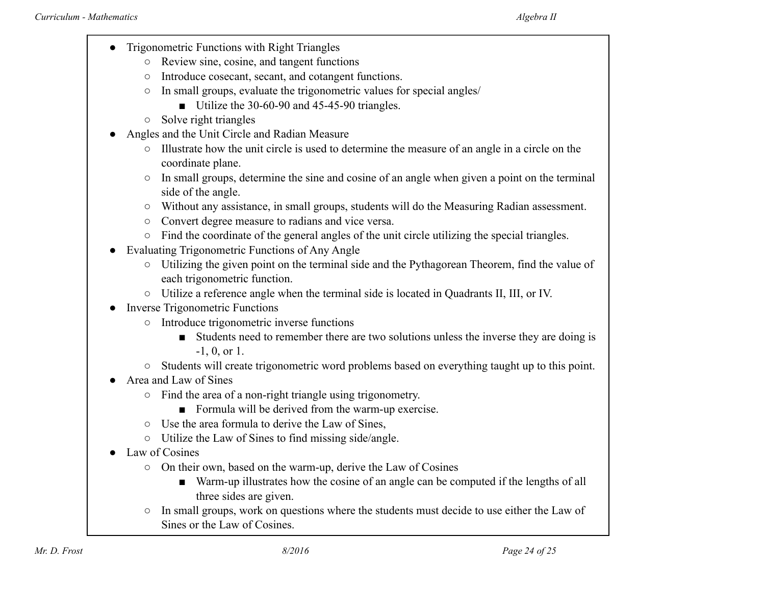- Trigonometric Functions with Right Triangles
	- Review sine, cosine, and tangent functions
	- Introduce cosecant, secant, and cotangent functions.
	- In small groups, evaluate the trigonometric values for special angles/
		- Utilize the 30-60-90 and 45-45-90 triangles.
	- Solve right triangles
- Angles and the Unit Circle and Radian Measure
	- Illustrate how the unit circle is used to determine the measure of an angle in a circle on the coordinate plane.
	- In small groups, determine the sine and cosine of an angle when given a point on the terminal side of the angle.
	- Without any assistance, in small groups, students will do the Measuring Radian assessment.
	- Convert degree measure to radians and vice versa.
	- Find the coordinate of the general angles of the unit circle utilizing the special triangles.
- Evaluating Trigonometric Functions of Any Angle
	- Utilizing the given point on the terminal side and the Pythagorean Theorem, find the value of each trigonometric function.
	- Utilize a reference angle when the terminal side is located in Quadrants II, III, or IV.
- Inverse Trigonometric Functions
	- Introduce trigonometric inverse functions
		- Students need to remember there are two solutions unless the inverse they are doing is -1, 0, or 1.
	- Students will create trigonometric word problems based on everything taught up to this point.
- Area and Law of Sines
	- Find the area of a non-right triangle using trigonometry.
		- Formula will be derived from the warm-up exercise.
	- Use the area formula to derive the Law of Sines,
	- Utilize the Law of Sines to find missing side/angle.
- Law of Cosines
	- On their own, based on the warm-up, derive the Law of Cosines
		- Warm-up illustrates how the cosine of an angle can be computed if the lengths of all three sides are given.
	- In small groups, work on questions where the students must decide to use either the Law of Sines or the Law of Cosines.